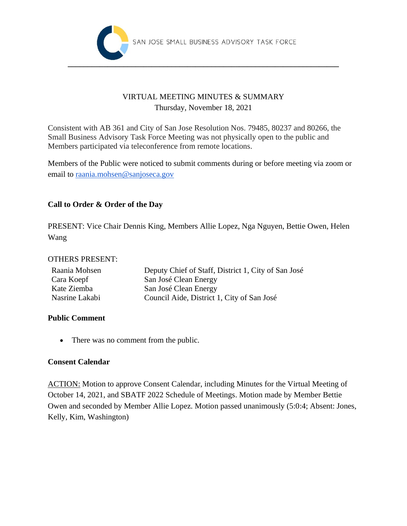

## VIRTUAL MEETING MINUTES & SUMMARY Thursday, November 18, 2021

Consistent with AB 361 and City of San Jose Resolution Nos. 79485, 80237 and 80266, the Small Business Advisory Task Force Meeting was not physically open to the public and Members participated via teleconference from remote locations.

Members of the Public were noticed to submit comments during or before meeting via zoom or email to raania.mohsen@sanjoseca.gov

## **Call to Order & Order of the Day**

PRESENT: Vice Chair Dennis King, Members Allie Lopez, Nga Nguyen, Bettie Owen, Helen Wang

#### OTHERS PRESENT:

| Raania Mohsen  | Deputy Chief of Staff, District 1, City of San José |
|----------------|-----------------------------------------------------|
| Cara Koepf     | San José Clean Energy                               |
| Kate Ziemba    | San José Clean Energy                               |
| Nasrine Lakabi | Council Aide, District 1, City of San José          |

#### **Public Comment**

• There was no comment from the public.

#### **Consent Calendar**

ACTION: Motion to approve Consent Calendar, including Minutes for the Virtual Meeting of October 14, 2021, and SBATF 2022 Schedule of Meetings. Motion made by Member Bettie Owen and seconded by Member Allie Lopez. Motion passed unanimously (5:0:4; Absent: Jones, Kelly, Kim, Washington)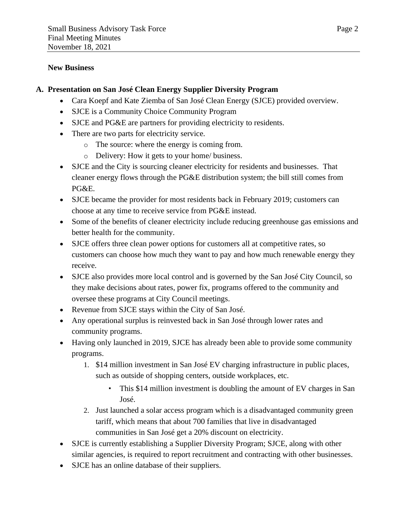#### **New Business**

#### **A. Presentation on San José Clean Energy Supplier Diversity Program**

- Cara Koepf and Kate Ziemba of San José Clean Energy (SJCE) provided overview.
- SJCE is a Community Choice Community Program
- SJCE and PG&E are partners for providing electricity to residents.
- There are two parts for electricity service.
	- o The source: where the energy is coming from.
	- o Delivery: How it gets to your home/ business.
- SJCE and the City is sourcing cleaner electricity for residents and businesses. That cleaner energy flows through the PG&E distribution system; the bill still comes from PG&E.
- SJCE became the provider for most residents back in February 2019; customers can choose at any time to receive service from PG&E instead.
- Some of the benefits of cleaner electricity include reducing greenhouse gas emissions and better health for the community.
- SJCE offers three clean power options for customers all at competitive rates, so customers can choose how much they want to pay and how much renewable energy they receive.
- SJCE also provides more local control and is governed by the San José City Council, so they make decisions about rates, power fix, programs offered to the community and oversee these programs at City Council meetings.
- Revenue from SJCE stays within the City of San José.
- Any operational surplus is reinvested back in San José through lower rates and community programs.
- Having only launched in 2019, SJCE has already been able to provide some community programs.
	- 1. \$14 million investment in San José EV charging infrastructure in public places, such as outside of shopping centers, outside workplaces, etc.
		- This \$14 million investment is doubling the amount of EV charges in San José.
	- 2. Just launched a solar access program which is a disadvantaged community green tariff, which means that about 700 families that live in disadvantaged communities in San José get a 20% discount on electricity.
- SJCE is currently establishing a Supplier Diversity Program; SJCE, along with other similar agencies, is required to report recruitment and contracting with other businesses.
- SJCE has an online database of their suppliers.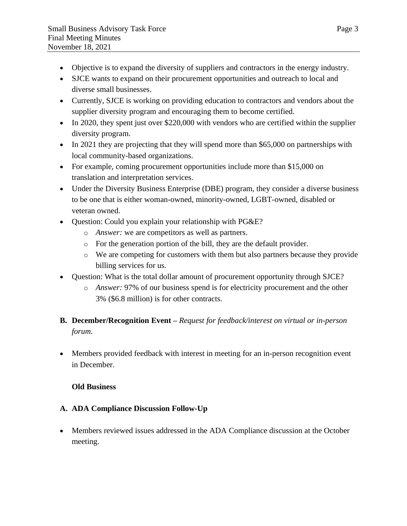- Objective is to expand the diversity of suppliers and contractors in the energy industry.
- SJCE wants to expand on their procurement opportunities and outreach to local and diverse small businesses.
- Currently, SJCE is working on providing education to contractors and vendors about the supplier diversity program and encouraging them to become certified.
- In 2020, they spent just over \$220,000 with vendors who are certified within the supplier diversity program.
- In 2021 they are projecting that they will spend more than \$65,000 on partnerships with local community-based organizations.
- For example, coming procurement opportunities include more than \$15,000 on translation and interpretation services.
- Under the Diversity Business Enterprise (DBE) program, they consider a diverse business to be one that is either woman-owned, minority-owned, LGBT-owned, disabled or veteran owned.
- Question: Could you explain your relationship with PG&E?
	- o *Answer:* we are competitors as well as partners.
	- o For the generation portion of the bill, they are the default provider.
	- o We are competing for customers with them but also partners because they provide billing services for us.
- Question: What is the total dollar amount of procurement opportunity through SJCE?
	- o *Answer:* 97% of our business spend is for electricity procurement and the other 3% (\$6.8 million) is for other contracts.

# **B. December/Recognition Event –** *Request for feedback/interest on virtual or in-person forum.*

• Members provided feedback with interest in meeting for an in-person recognition event in December.

## **Old Business**

## **A. ADA Compliance Discussion Follow-Up**

• Members reviewed issues addressed in the ADA Compliance discussion at the October meeting.